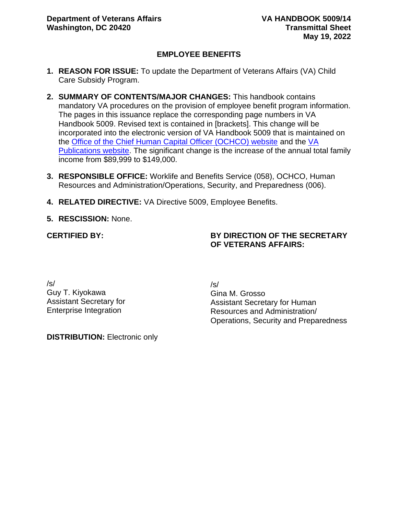## **EMPLOYEE BENEFITS**

- **1. REASON FOR ISSUE:** To update the Department of Veterans Affairs (VA) Child Care Subsidy Program.
- **2. SUMMARY OF CONTENTS/MAJOR CHANGES:** This handbook contains mandatory VA procedures on the provision of employee benefit program information. The pages in this issuance replace the corresponding page numbers in VA Handbook 5009. Revised text is contained in [brackets]. This change will be incorporated into the electronic version of VA Handbook 5009 that is maintained on the [Office of the Chief Human Capital Officer \(OCHCO\) website](https://vaww.va.gov/OHRM/HRLibrary/Dir-Policy.htm) and the [VA](https://vaww.va.gov/vapubs/search_action.cfm?dType=1)  [Publications website.](https://vaww.va.gov/vapubs/search_action.cfm?dType=1) The significant change is the increase of the annual total family income from \$89,999 to \$149,000.
- **3. RESPONSIBLE OFFICE:** Worklife and Benefits Service (058), OCHCO, Human Resources and Administration/Operations, Security, and Preparedness (006).
- **4. RELATED DIRECTIVE:** VA Directive 5009, Employee Benefits.
- **5. RESCISSION:** None.

**CERTIFIED BY:**

## **BY DIRECTION OF THE SECRETARY OF VETERANS AFFAIRS:**

/s/ Guy T. Kiyokawa Assistant Secretary for Enterprise Integration

/s/

Gina M. Grosso Assistant Secretary for Human Resources and Administration/ Operations, Security and Preparedness

**DISTRIBUTION:** Electronic only